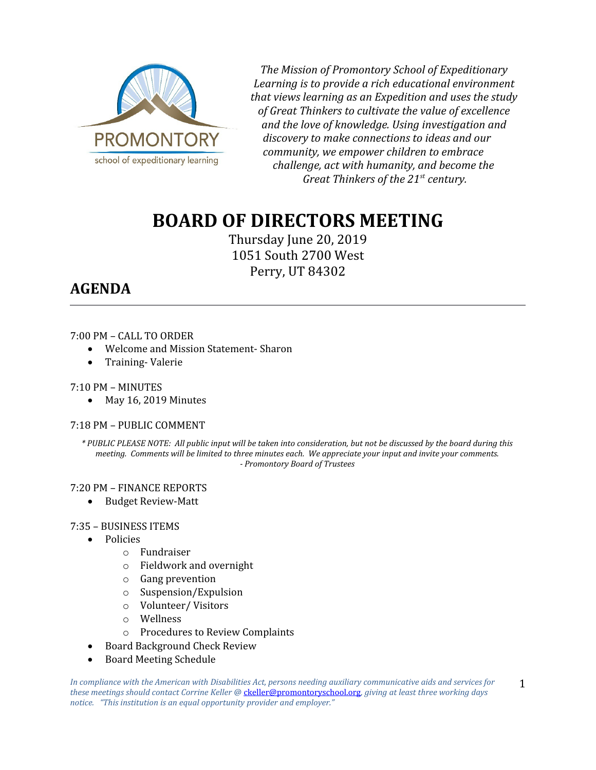

*The Mission of Promontory School of Expeditionary Learning is to provide a rich educational environment that views learning as an Expedition and uses the study of Great Thinkers to cultivate the value of excellence and the love of knowledge. Using investigation and discovery to make connections to ideas and our community, we empower children to embrace challenge, act with humanity, and become the Great Thinkers of the 21st century.*

# **BOARD OF DIRECTORS MEETING**

Thursday June 20, 2019 1051 South 2700 West Perry, UT 84302

# **AGENDA**

### 7:00 PM – CALL TO ORDER

- Welcome and Mission Statement- Sharon
- Training-Valerie

#### 7:10 PM – MINUTES

• May 16, 2019 Minutes

### 7:18 PM – PUBLIC COMMENT

*\* PUBLIC PLEASE NOTE: All public input will be taken into consideration, but not be discussed by the board during this meeting. Comments will be limited to three minutes each. We appreciate your input and invite your comments. - Promontory Board of Trustees*

#### 7:20 PM – FINANCE REPORTS

Budget Review-Matt

#### 7:35 – BUSINESS ITEMS

- Policies
	- o Fundraiser
	- o Fieldwork and overnight
	- o Gang prevention
	- o Suspension/Expulsion
	- o Volunteer/ Visitors
	- o Wellness
	- o Procedures to Review Complaints
- Board Background Check Review
- Board Meeting Schedule

1